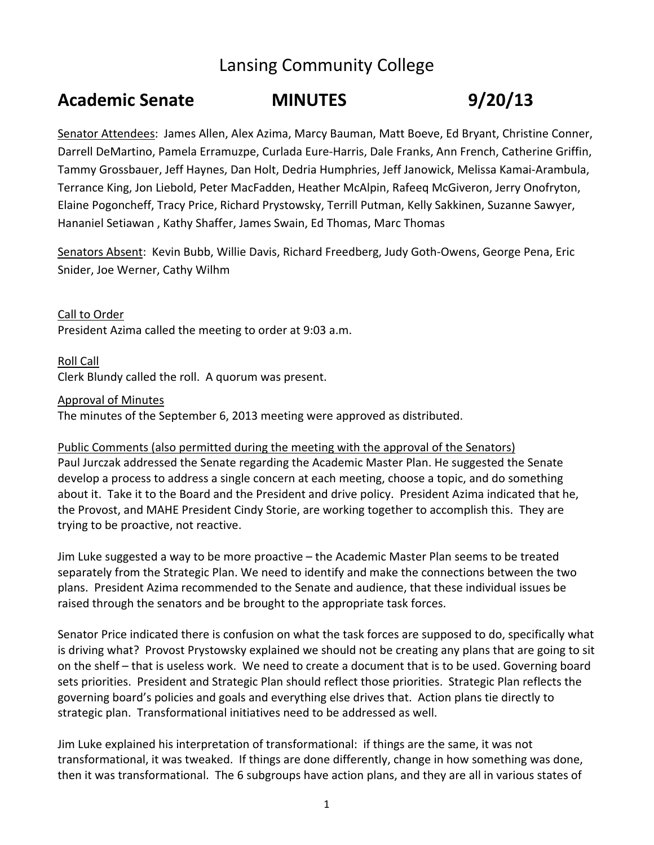# Lansing Community College

## **Academic Senate MINUTES 9/20/13**

Senator Attendees: James Allen, Alex Azima, Marcy Bauman, Matt Boeve, Ed Bryant, Christine Conner, Darrell DeMartino, Pamela Erramuzpe, Curlada Eure‐Harris, Dale Franks, Ann French, Catherine Griffin, Tammy Grossbauer, Jeff Haynes, Dan Holt, Dedria Humphries, Jeff Janowick, Melissa Kamai‐Arambula, Terrance King, Jon Liebold, Peter MacFadden, Heather McAlpin, Rafeeq McGiveron, Jerry Onofryton, Elaine Pogoncheff, Tracy Price, Richard Prystowsky, Terrill Putman, Kelly Sakkinen, Suzanne Sawyer, Hananiel Setiawan , Kathy Shaffer, James Swain, Ed Thomas, Marc Thomas

Senators Absent: Kevin Bubb, Willie Davis, Richard Freedberg, Judy Goth-Owens, George Pena, Eric Snider, Joe Werner, Cathy Wilhm

Call to Order President Azima called the meeting to order at 9:03 a.m.

Roll Call Clerk Blundy called the roll. A quorum was present.

Approval of Minutes

The minutes of the September 6, 2013 meeting were approved as distributed.

Public Comments (also permitted during the meeting with the approval of the Senators) Paul Jurczak addressed the Senate regarding the Academic Master Plan. He suggested the Senate develop a process to address a single concern at each meeting, choose a topic, and do something about it. Take it to the Board and the President and drive policy. President Azima indicated that he, the Provost, and MAHE President Cindy Storie, are working together to accomplish this. They are trying to be proactive, not reactive.

Jim Luke suggested a way to be more proactive – the Academic Master Plan seems to be treated separately from the Strategic Plan. We need to identify and make the connections between the two plans. President Azima recommended to the Senate and audience, that these individual issues be raised through the senators and be brought to the appropriate task forces.

Senator Price indicated there is confusion on what the task forces are supposed to do, specifically what is driving what? Provost Prystowsky explained we should not be creating any plans that are going to sit on the shelf – that is useless work. We need to create a document that is to be used. Governing board sets priorities. President and Strategic Plan should reflect those priorities. Strategic Plan reflects the governing board's policies and goals and everything else drives that. Action plans tie directly to strategic plan. Transformational initiatives need to be addressed as well.

Jim Luke explained his interpretation of transformational: if things are the same, it was not transformational, it was tweaked. If things are done differently, change in how something was done, then it was transformational. The 6 subgroups have action plans, and they are all in various states of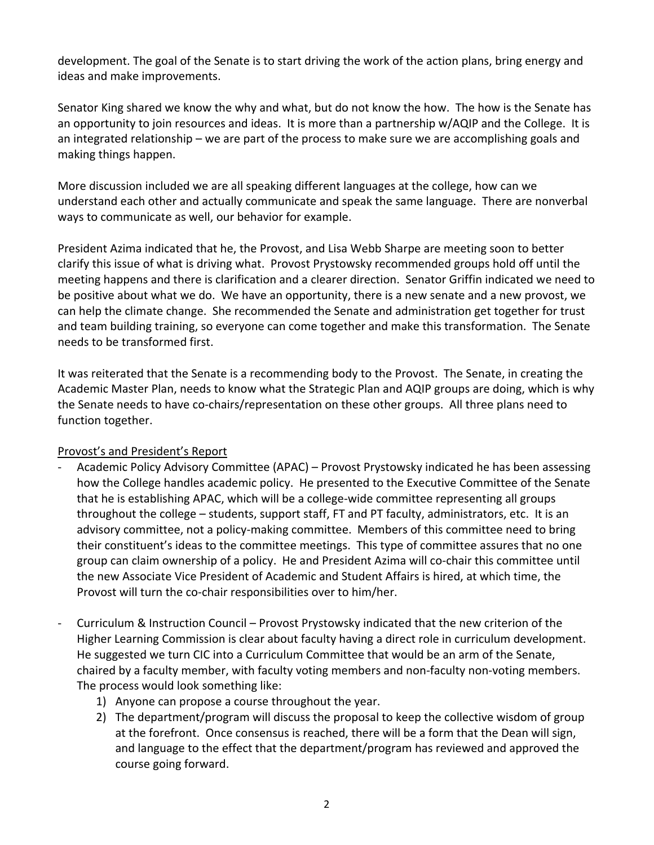development. The goal of the Senate is to start driving the work of the action plans, bring energy and ideas and make improvements.

Senator King shared we know the why and what, but do not know the how. The how is the Senate has an opportunity to join resources and ideas. It is more than a partnership w/AQIP and the College. It is an integrated relationship – we are part of the process to make sure we are accomplishing goals and making things happen.

More discussion included we are all speaking different languages at the college, how can we understand each other and actually communicate and speak the same language. There are nonverbal ways to communicate as well, our behavior for example.

President Azima indicated that he, the Provost, and Lisa Webb Sharpe are meeting soon to better clarify this issue of what is driving what. Provost Prystowsky recommended groups hold off until the meeting happens and there is clarification and a clearer direction. Senator Griffin indicated we need to be positive about what we do. We have an opportunity, there is a new senate and a new provost, we can help the climate change. She recommended the Senate and administration get together for trust and team building training, so everyone can come together and make this transformation. The Senate needs to be transformed first.

It was reiterated that the Senate is a recommending body to the Provost. The Senate, in creating the Academic Master Plan, needs to know what the Strategic Plan and AQIP groups are doing, which is why the Senate needs to have co-chairs/representation on these other groups. All three plans need to function together.

### Provost's and President's Report

- Academic Policy Advisory Committee (APAC) Provost Prystowsky indicated he has been assessing how the College handles academic policy. He presented to the Executive Committee of the Senate that he is establishing APAC, which will be a college‐wide committee representing all groups throughout the college – students, support staff, FT and PT faculty, administrators, etc. It is an advisory committee, not a policy-making committee. Members of this committee need to bring their constituent's ideas to the committee meetings. This type of committee assures that no one group can claim ownership of a policy. He and President Azima will co-chair this committee until the new Associate Vice President of Academic and Student Affairs is hired, at which time, the Provost will turn the co-chair responsibilities over to him/her.
- ‐ Curriculum & Instruction Council Provost Prystowsky indicated that the new criterion of the Higher Learning Commission is clear about faculty having a direct role in curriculum development. He suggested we turn CIC into a Curriculum Committee that would be an arm of the Senate, chaired by a faculty member, with faculty voting members and non‐faculty non‐voting members. The process would look something like:
	- 1) Anyone can propose a course throughout the year.
	- 2) The department/program will discuss the proposal to keep the collective wisdom of group at the forefront. Once consensus is reached, there will be a form that the Dean will sign, and language to the effect that the department/program has reviewed and approved the course going forward.